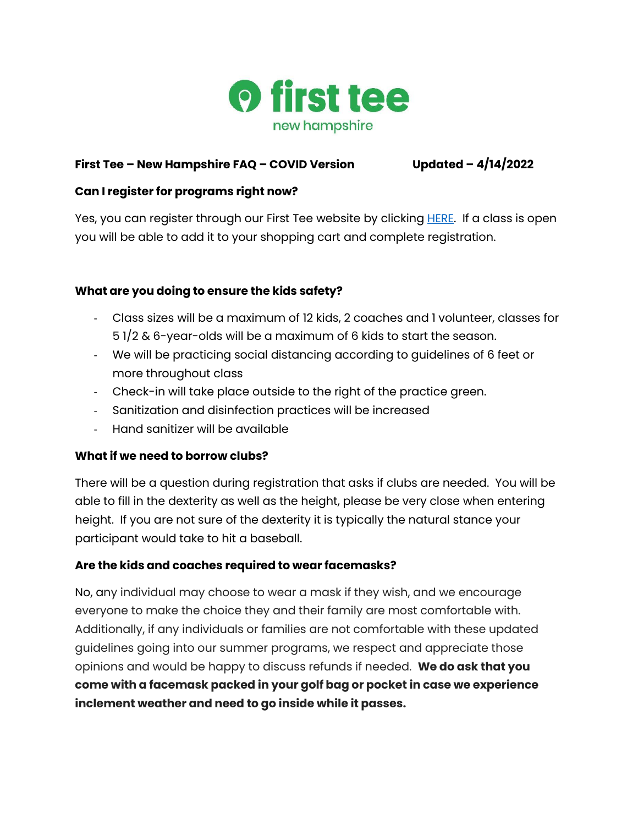

## **First Tee – New Hampshire FAQ – COVID Version Updated – 4/14/2022**

### **Can I register for programs right now?**

Yes, you can register through our First Tee website by clicking **HERE.** If a class is open you will be able to add it to your shopping cart and complete registration.

# **What are you doing to ensure the kids safety?**

- Class sizes will be a maximum of 12 kids, 2 coaches and 1 volunteer, classes for 5 1/2 & 6-year-olds will be a maximum of 6 kids to start the season.
- We will be practicing social distancing according to guidelines of 6 feet or more throughout class
- Check-in will take place outside to the right of the practice green.
- Sanitization and disinfection practices will be increased
- Hand sanitizer will be available

#### **What if we need to borrow clubs?**

There will be a question during registration that asks if clubs are needed. You will be able to fill in the dexterity as well as the height, please be very close when entering height. If you are not sure of the dexterity it is typically the natural stance your participant would take to hit a baseball.

# **Are the kids and coaches required to wear facemasks?**

No, any individual may choose to wear a mask if they wish, and we encourage everyone to make the choice they and their family are most comfortable with. Additionally, if any individuals or families are not comfortable with these updated guidelines going into our summer programs, we respect and appreciate those opinions and would be happy to discuss refunds if needed. **We do ask that you come with a facemask packed in your golf bag or pocket in case we experience inclement weather and need to go inside while it passes.**